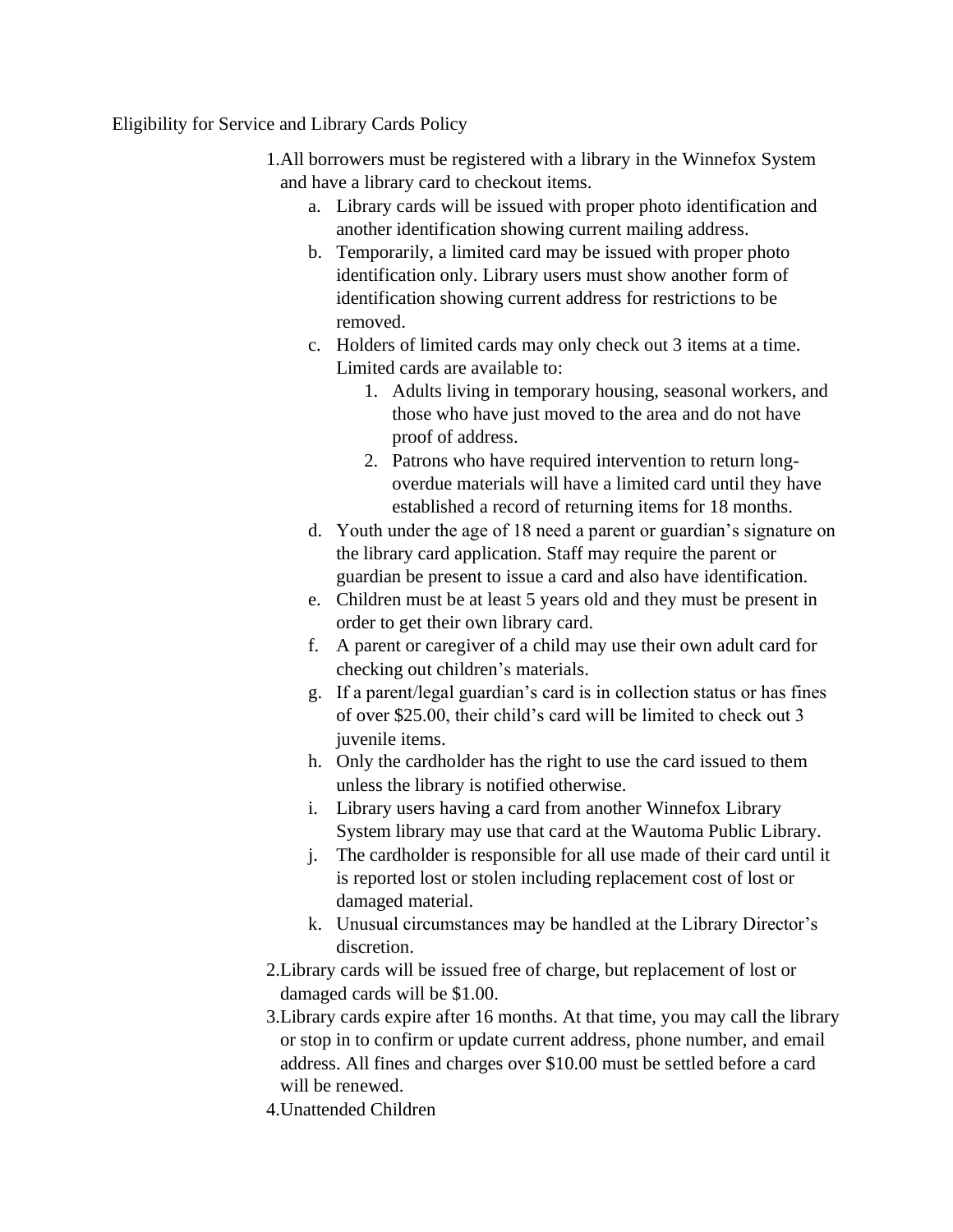## Eligibility for Service and Library Cards Policy

- 1.All borrowers must be registered with a library in the Winnefox System and have a library card to checkout items.
	- a. Library cards will be issued with proper photo identification and another identification showing current mailing address.
	- b. Temporarily, a limited card may be issued with proper photo identification only. Library users must show another form of identification showing current address for restrictions to be removed.
	- c. Holders of limited cards may only check out 3 items at a time. Limited cards are available to:
		- 1. Adults living in temporary housing, seasonal workers, and those who have just moved to the area and do not have proof of address.
		- 2. Patrons who have required intervention to return longoverdue materials will have a limited card until they have established a record of returning items for 18 months.
	- d. Youth under the age of 18 need a parent or guardian's signature on the library card application. Staff may require the parent or guardian be present to issue a card and also have identification.
	- e. Children must be at least 5 years old and they must be present in order to get their own library card.
	- f. A parent or caregiver of a child may use their own adult card for checking out children's materials.
	- g. If a parent/legal guardian's card is in collection status or has fines of over \$25.00, their child's card will be limited to check out 3 juvenile items.
	- h. Only the cardholder has the right to use the card issued to them unless the library is notified otherwise.
	- i. Library users having a card from another Winnefox Library System library may use that card at the Wautoma Public Library.
	- j. The cardholder is responsible for all use made of their card until it is reported lost or stolen including replacement cost of lost or damaged material.
	- k. Unusual circumstances may be handled at the Library Director's discretion.
- 2.Library cards will be issued free of charge, but replacement of lost or damaged cards will be \$1.00.
- 3.Library cards expire after 16 months. At that time, you may call the library or stop in to confirm or update current address, phone number, and email address. All fines and charges over \$10.00 must be settled before a card will be renewed.
- 4.Unattended Children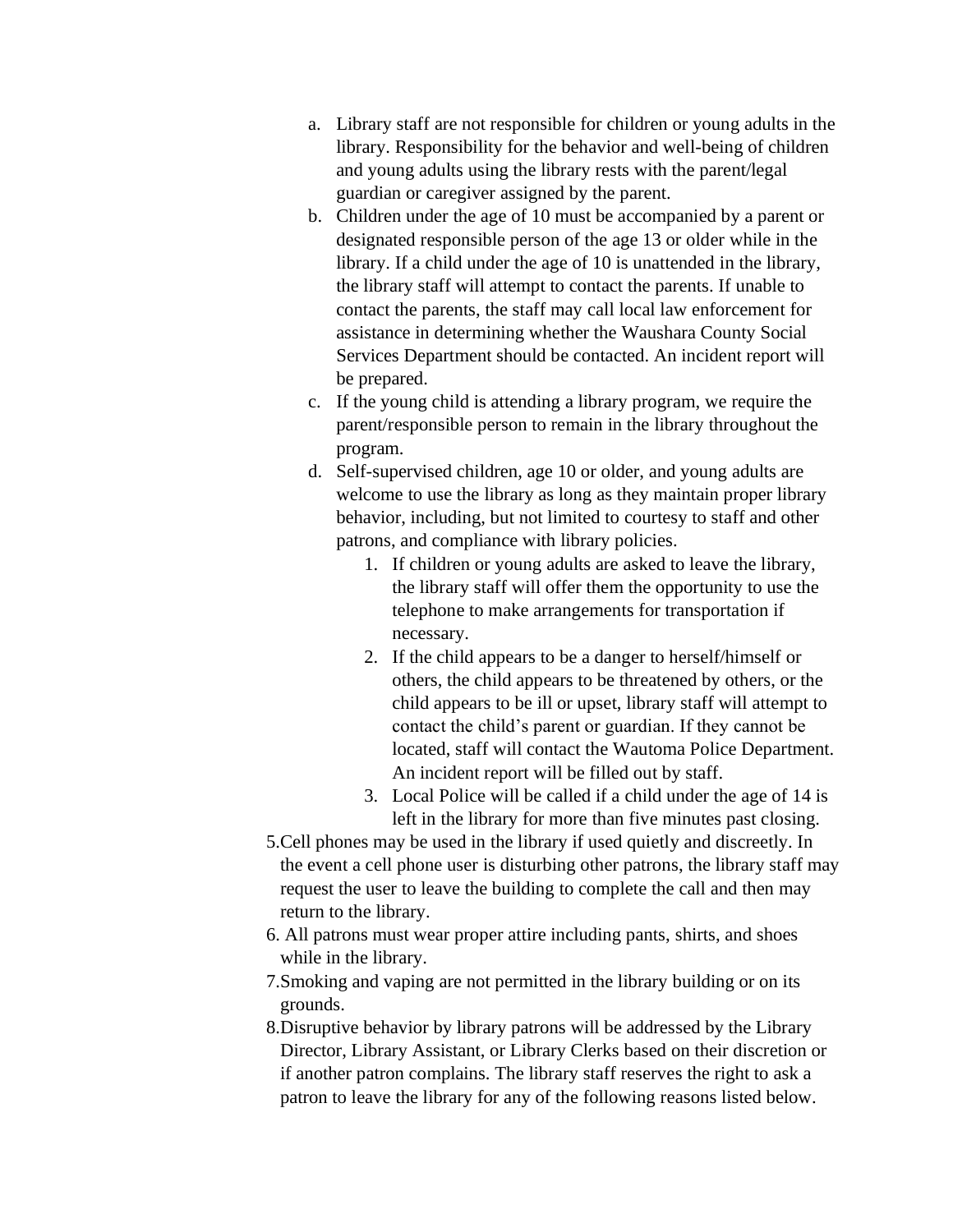- a. Library staff are not responsible for children or young adults in the library. Responsibility for the behavior and well-being of children and young adults using the library rests with the parent/legal guardian or caregiver assigned by the parent.
- b. Children under the age of 10 must be accompanied by a parent or designated responsible person of the age 13 or older while in the library. If a child under the age of 10 is unattended in the library, the library staff will attempt to contact the parents. If unable to contact the parents, the staff may call local law enforcement for assistance in determining whether the Waushara County Social Services Department should be contacted. An incident report will be prepared.
- c. If the young child is attending a library program, we require the parent/responsible person to remain in the library throughout the program.
- d. Self-supervised children, age 10 or older, and young adults are welcome to use the library as long as they maintain proper library behavior, including, but not limited to courtesy to staff and other patrons, and compliance with library policies.
	- 1. If children or young adults are asked to leave the library, the library staff will offer them the opportunity to use the telephone to make arrangements for transportation if necessary.
	- 2. If the child appears to be a danger to herself/himself or others, the child appears to be threatened by others, or the child appears to be ill or upset, library staff will attempt to contact the child's parent or guardian. If they cannot be located, staff will contact the Wautoma Police Department. An incident report will be filled out by staff.
	- 3. Local Police will be called if a child under the age of 14 is left in the library for more than five minutes past closing.
- 5.Cell phones may be used in the library if used quietly and discreetly. In the event a cell phone user is disturbing other patrons, the library staff may request the user to leave the building to complete the call and then may return to the library.
- 6. All patrons must wear proper attire including pants, shirts, and shoes while in the library.
- 7.Smoking and vaping are not permitted in the library building or on its grounds.
- 8.Disruptive behavior by library patrons will be addressed by the Library Director, Library Assistant, or Library Clerks based on their discretion or if another patron complains. The library staff reserves the right to ask a patron to leave the library for any of the following reasons listed below.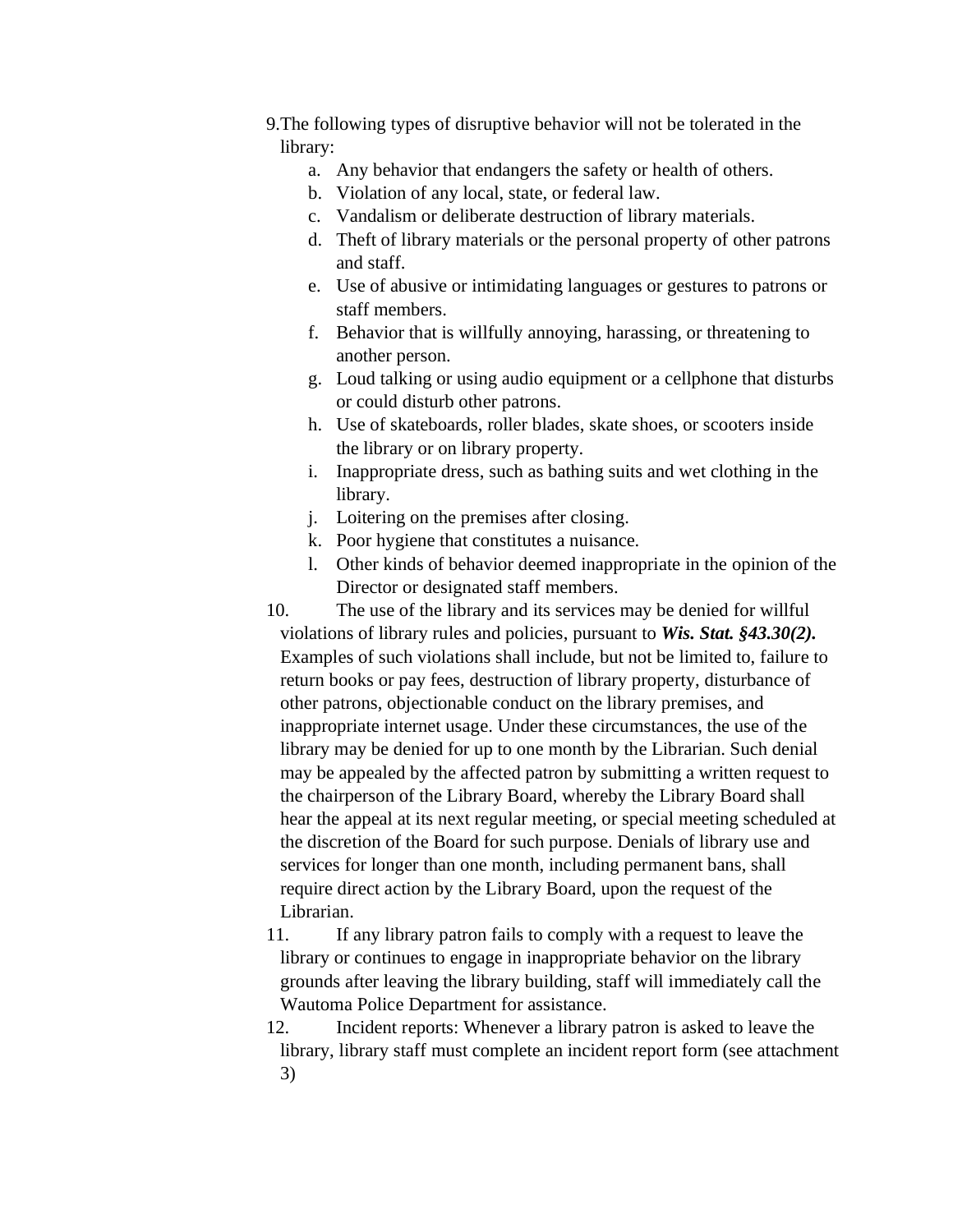- 9.The following types of disruptive behavior will not be tolerated in the library:
	- a. Any behavior that endangers the safety or health of others.
	- b. Violation of any local, state, or federal law.
	- c. Vandalism or deliberate destruction of library materials.
	- d. Theft of library materials or the personal property of other patrons and staff.
	- e. Use of abusive or intimidating languages or gestures to patrons or staff members.
	- f. Behavior that is willfully annoying, harassing, or threatening to another person.
	- g. Loud talking or using audio equipment or a cellphone that disturbs or could disturb other patrons.
	- h. Use of skateboards, roller blades, skate shoes, or scooters inside the library or on library property.
	- i. Inappropriate dress, such as bathing suits and wet clothing in the library.
	- j. Loitering on the premises after closing.
	- k. Poor hygiene that constitutes a nuisance.
	- l. Other kinds of behavior deemed inappropriate in the opinion of the Director or designated staff members.

10. The use of the library and its services may be denied for willful violations of library rules and policies, pursuant to *Wis. Stat. §43.30(2).*  Examples of such violations shall include, but not be limited to, failure to return books or pay fees, destruction of library property, disturbance of other patrons, objectionable conduct on the library premises, and inappropriate internet usage. Under these circumstances, the use of the library may be denied for up to one month by the Librarian. Such denial may be appealed by the affected patron by submitting a written request to the chairperson of the Library Board, whereby the Library Board shall hear the appeal at its next regular meeting, or special meeting scheduled at the discretion of the Board for such purpose. Denials of library use and services for longer than one month, including permanent bans, shall require direct action by the Library Board, upon the request of the Librarian.

- 11. If any library patron fails to comply with a request to leave the library or continues to engage in inappropriate behavior on the library grounds after leaving the library building, staff will immediately call the Wautoma Police Department for assistance.
- 12. Incident reports: Whenever a library patron is asked to leave the library, library staff must complete an incident report form (see attachment 3)